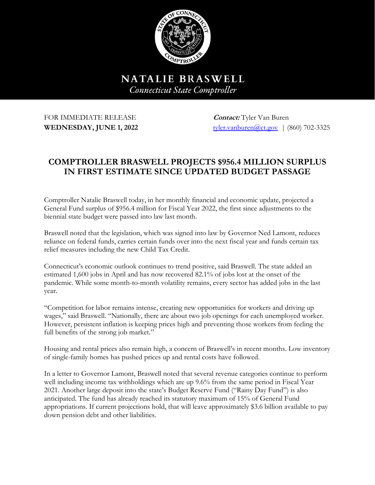

NATALIE BRASWELL **Connecticut State Comptroller** 

# FOR IMMEDIATE RELEASE **Contact:** Tyler Van Buren

**WEDNESDAY, JUNE 1, 2022** [tyler.vanburen@ct.gov](mailto:tyler.vanburen@ct.gov) | (860) 702-3325

# **COMPTROLLER BRASWELL PROJECTS \$956.4 MILLION SURPLUS IN FIRST ESTIMATE SINCE UPDATED BUDGET PASSAGE**

Comptroller Natalie Braswell today, in her monthly financial and economic update, projected a General Fund surplus of \$956.4 million for Fiscal Year 2022, the first since adjustments to the biennial state budget were passed into law last month.

Braswell noted that the legislation, which was signed into law by Governor Ned Lamont, reduces reliance on federal funds, carries certain funds over into the next fiscal year and funds certain tax relief measures including the new Child Tax Credit.

Connecticut's economic outlook continues to trend positive, said Braswell. The state added an estimated 1,600 jobs in April and has now recovered 82.1% of jobs lost at the onset of the pandemic. While some month-to-month volatility remains, every sector has added jobs in the last year.

"Competition for labor remains intense, creating new opportunities for workers and driving up wages," said Braswell. "Nationally, there are about two job openings for each unemployed worker. However, persistent inflation is keeping prices high and preventing those workers from feeling the full benefits of the strong job market."

Housing and rental prices also remain high, a concern of Braswell's in recent months. Low inventory of single-family homes has pushed prices up and rental costs have followed.

In a letter to Governor Lamont, Braswell noted that several revenue categories continue to perform well including income tax withholdings which are up 9.6% from the same period in Fiscal Year 2021. Another large deposit into the state's Budget Reserve Fund ("Rainy Day Fund") is also anticipated. The fund has already reached its statutory maximum of 15% of General Fund appropriations. If current projections hold, that will leave approximately \$3.6 billion available to pay down pension debt and other liabilities.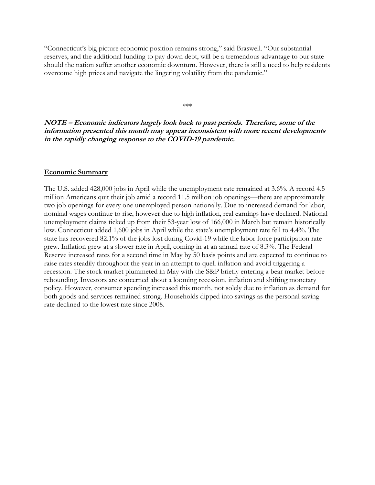"Connecticut's big picture economic position remains strong," said Braswell. "Our substantial reserves, and the additional funding to pay down debt, will be a tremendous advantage to our state should the nation suffer another economic downturn. However, there is still a need to help residents overcome high prices and navigate the lingering volatility from the pandemic."

# **NOTE – Economic indicators largely look back to past periods. Therefore, some of the information presented this month may appear inconsistent with more recent developments in the rapidly changing response to the COVID-19 pandemic.**

\*\*\*

#### **Economic Summary**

The U.S. added 428,000 jobs in April while the unemployment rate remained at 3.6%. A record 4.5 million Americans quit their job amid a record 11.5 million job openings—there are approximately two job openings for every one unemployed person nationally. Due to increased demand for labor, nominal wages continue to rise, however due to high inflation, real earnings have declined. National unemployment claims ticked up from their 53-year low of 166,000 in March but remain historically low. Connecticut added 1,600 jobs in April while the state's unemployment rate fell to 4.4%. The state has recovered 82.1% of the jobs lost during Covid-19 while the labor force participation rate grew. Inflation grew at a slower rate in April, coming in at an annual rate of 8.3%. The Federal Reserve increased rates for a second time in May by 50 basis points and are expected to continue to raise rates steadily throughout the year in an attempt to quell inflation and avoid triggering a recession. The stock market plummeted in May with the S&P briefly entering a bear market before rebounding. Investors are concerned about a looming recession, inflation and shifting monetary policy. However, consumer spending increased this month, not solely due to inflation as demand for both goods and services remained strong. Households dipped into savings as the personal saving rate declined to the lowest rate since 2008.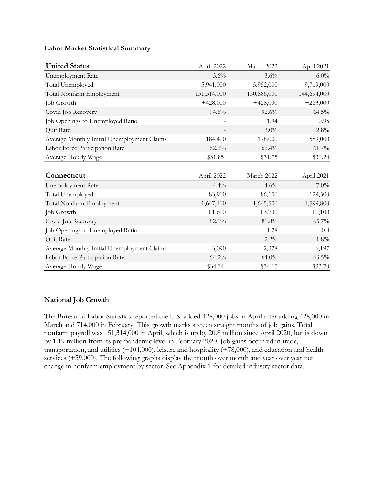#### **Labor Market Statistical Summary**

| <b>United States</b>                        | April 2022               | March 2022  | April 2021  |
|---------------------------------------------|--------------------------|-------------|-------------|
| Unemployment Rate                           | 3.6%                     | $3.6\%$     | $6.0\%$     |
| Total Unemployed                            | 5,941,000                | 5,952,000   | 9,719,000   |
| Total Nonfarm Employment                    | 151,314,000              | 150,886,000 | 144,694,000 |
| Job Growth                                  | $+428,000$               | $+428,000$  | $+263,000$  |
| Covid Job Recovery                          | 94.6%                    | $92.6\%$    | $64.5\%$    |
| Job Openings to Unemployed Ratio            |                          | 1.94        | 0.95        |
| Quit Rate                                   |                          | $3.0\%$     | 2.8%        |
| Average Monthly Initial Unemployment Claims | 184,400                  | 178,000     | 589,000     |
| Labor Force Participation Rate              | $62.2\%$                 | 62.4%       | 61.7%       |
| Average Hourly Wage                         | \$31.85                  | \$31.75     | \$30.20     |
|                                             |                          |             |             |
| Connecticut                                 | April 2022               | March 2022  | April 2021  |
| <b>Unemployment Rate</b>                    | 4.4%                     | 4.6%        | $7.0\%$     |
| Total Unemployed                            | 83,900                   | 86,100      | 129,500     |
| Total Nonfarm Employment                    | 1,647,100                | 1,645,500   | 1,599,800   |
| Job Growth                                  | $+1,600$                 | $+3,700$    | $+1,100$    |
| Covid Job Recovery                          | 82.1%                    | 81.8%       | 65.7%       |
| Job Openings to Unemployed Ratio            | $\overline{\phantom{a}}$ | 1.28        | 0.8         |
| Quit Rate                                   |                          | $2.2\%$     | $1.8\%$     |
| Average Monthly Initial Unemployment Claims | 3,090                    | 2,328       | 6,197       |
| Labor Force Participation Rate              | 64.2%                    | $64.0\%$    | $63.5\%$    |
| Average Hourly Wage                         | \$34.34                  | \$34.15     | \$33.70     |

## **National Job Growth**

The Bureau of Labor Statistics reported the U.S. added 428,000 jobs in April after adding 428,000 in March and 714,000 in February. This growth marks sixteen straight months of job gains. Total nonfarm payroll was 151,314,000 in April, which is up by 20.8 million since April 2020, but is down by 1.19 million from its pre-pandemic level in February 2020. Job gains occurred in trade, transportation, and utilities (+104,000), leisure and hospitality (+78,000), and education and health services (+59,000). The following graphs display the month over month and year over year net change in nonfarm employment by sector. See Appendix 1 for detailed industry sector data.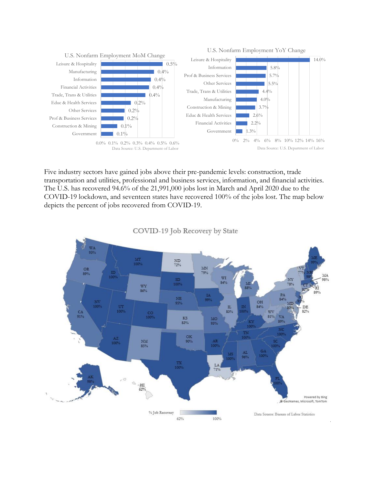

Five industry sectors have gained jobs above their pre-pandemic levels: construction, trade transportation and utilities, professional and business services, information, and financial activities. The U.S. has recovered 94.6% of the 21,991,000 jobs lost in March and April 2020 due to the COVID-19 lockdown, and seventeen states have recovered 100% of the jobs lost. The map below depicts the percent of jobs recovered from COVID-19.



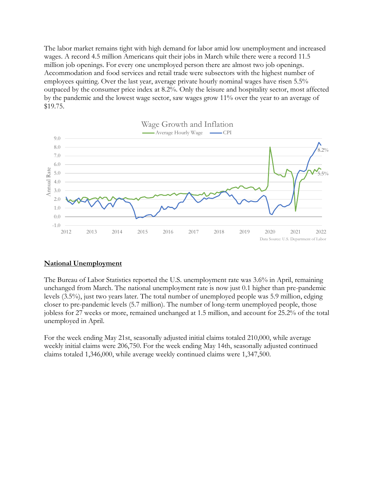The labor market remains tight with high demand for labor amid low unemployment and increased wages. A record 4.5 million Americans quit their jobs in March while there were a record 11.5 million job openings. For every one unemployed person there are almost two job openings. Accommodation and food services and retail trade were subsectors with the highest number of employees quitting. Over the last year, average private hourly nominal wages have risen 5.5% outpaced by the consumer price index at 8.2%. Only the leisure and hospitality sector, most affected by the pandemic and the lowest wage sector, saw wages grow 11% over the year to an average of \$19.75.



#### **National Unemployment**

The Bureau of Labor Statistics reported the U.S. unemployment rate was 3.6% in April, remaining unchanged from March. The national unemployment rate is now just 0.1 higher than pre-pandemic levels (3.5%), just two years later. The total number of unemployed people was 5.9 million, edging closer to pre-pandemic levels (5.7 million). The number of long-term unemployed people, those jobless for 27 weeks or more, remained unchanged at 1.5 million, and account for 25.2% of the total unemployed in April.

For the week ending May 21st, seasonally adjusted initial claims totaled 210,000, while average weekly initial claims were 206,750. For the week ending May 14th, seasonally adjusted continued claims totaled 1,346,000, while average weekly continued claims were 1,347,500.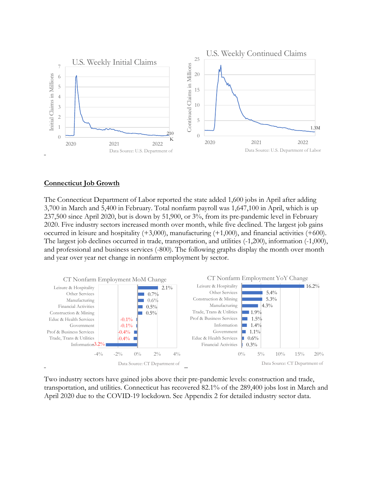

#### **Connecticut Job Growth**

The Connecticut Department of Labor reported the state added 1,600 jobs in April after adding 3,700 in March and 5,400 in February. Total nonfarm payroll was 1,647,100 in April, which is up 237,500 since April 2020, but is down by 51,900, or 3%, from its pre-pandemic level in February 2020. Five industry sectors increased month over month, while five declined. The largest job gains occurred in leisure and hospitality  $(+3,000)$ , manufacturing  $(+1,000)$ , and financial activities  $(+600)$ . The largest job declines occurred in trade, transportation, and utilities (-1,200), information (-1,000), and professional and business services (-800). The following graphs display the month over month and year over year net change in nonfarm employment by sector.



Two industry sectors have gained jobs above their pre-pandemic levels: construction and trade, transportation, and utilities. Connecticut has recovered 82.1% of the 289,400 jobs lost in March and April 2020 due to the COVID-19 lockdown. See Appendix 2 for detailed industry sector data.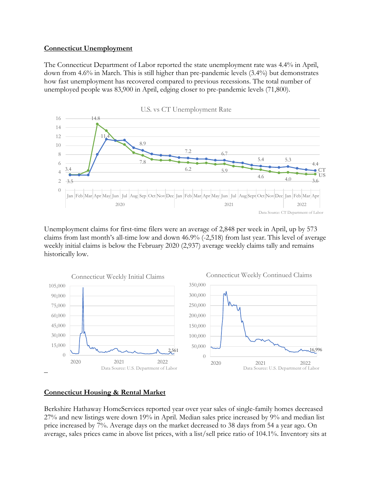#### **Connecticut Unemployment**

The Connecticut Department of Labor reported the state unemployment rate was 4.4% in April, down from 4.6% in March. This is still higher than pre-pandemic levels (3.4%) but demonstrates how fast unemployment has recovered compared to previous recessions. The total number of unemployed people was 83,900 in April, edging closer to pre-pandemic levels (71,800).



Unemployment claims for first-time filers were an average of 2,848 per week in April, up by 573 claims from last month's all-time low and down 46.9% (-2,518) from last year. This level of average weekly initial claims is below the February 2020 (2,937) average weekly claims tally and remains historically low.



# **Connecticut Housing & Rental Market**

Berkshire Hathaway HomeServices reported year over year sales of single-family homes decreased 27% and new listings were down 19% in April. Median sales price increased by 9% and median list price increased by 7%. Average days on the market decreased to 38 days from 54 a year ago. On average, sales prices came in above list prices, with a list/sell price ratio of 104.1%. Inventory sits at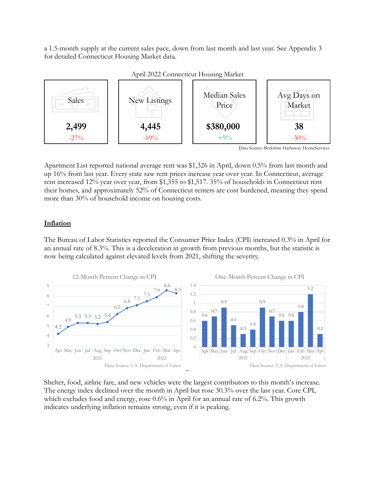a 1.5-month supply at the current sales pace, down from last month and last year. See Appendix 3 for detailed Connecticut Housing Market data.



April 2022 Connecticut Housing Market

Apartment List reported national average rent was \$1,326 in April, down 0.5% from last month and up 16% from last year. Every state saw rent prices increase year over year. In Connecticut, average rent increased 12% year over year, from \$1,355 to \$1,517. 35% of households in Connecticut rent their homes, and approximately 52% of Connecticut renters are cost burdened, meaning they spend more than 30% of household income on housing costs.

# **Inflation**

The Bureau of Labor Statistics reported the Consumer Price Index (CPI) increased 0.3% in April for an annual rate of 8.3%. This is a deceleration in growth from previous months, but the statistic is now being calculated against elevated levels from 2021, shifting the severity.



Shelter, food, airline fare, and new vehicles were the largest contributors to this month's increase. The energy index declined over the month in April but rose 30.3% over the last year. Core CPI, which excludes food and energy, rose 0.6% in April for an annual rate of 6.2%. This growth indicates underlying inflation remains strong, even if it is peaking.

Data Source: Berkshire Hathaway HomeServices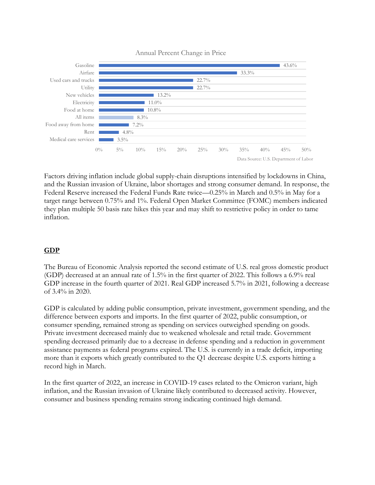

Annual Percent Change in Price

Factors driving inflation include global supply-chain disruptions intensified by lockdowns in China, and the Russian invasion of Ukraine, labor shortages and strong consumer demand. In response, the Federal Reserve increased the Federal Funds Rate twice—0.25% in March and 0.5% in May for a target range between 0.75% and 1%. Federal Open Market Committee (FOMC) members indicated they plan multiple 50 basis rate hikes this year and may shift to restrictive policy in order to tame inflation.

# **GDP**

The Bureau of Economic Analysis reported the second estimate of U.S. real gross domestic product (GDP) decreased at an annual rate of 1.5% in the first quarter of 2022. This follows a 6.9% real GDP increase in the fourth quarter of 2021. Real GDP increased 5.7% in 2021, following a decrease of 3.4% in 2020.

GDP is calculated by adding public consumption, private investment, government spending, and the difference between exports and imports. In the first quarter of 2022, public consumption, or consumer spending, remained strong as spending on services outweighed spending on goods. Private investment decreased mainly due to weakened wholesale and retail trade. Government spending decreased primarily due to a decrease in defense spending and a reduction in government assistance payments as federal programs expired. The U.S. is currently in a trade deficit, importing more than it exports which greatly contributed to the Q1 decrease despite U.S. exports hitting a record high in March.

In the first quarter of 2022, an increase in COVID-19 cases related to the Omicron variant, high inflation, and the Russian invasion of Ukraine likely contributed to decreased activity. However, consumer and business spending remains strong indicating continued high demand.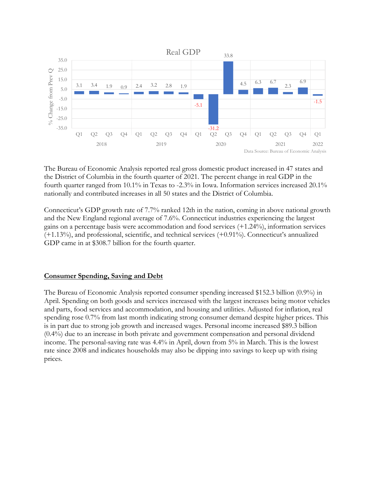

The Bureau of Economic Analysis reported real gross domestic product increased in 47 states and the District of Columbia in the fourth quarter of 2021. The percent change in real GDP in the fourth quarter ranged from 10.1% in Texas to -2.3% in Iowa. Information services increased 20.1% nationally and contributed increases in all 50 states and the District of Columbia.

Connecticut's GDP growth rate of 7.7% ranked 12th in the nation, coming in above national growth and the New England regional average of 7.6%. Connecticut industries experiencing the largest gains on a percentage basis were accommodation and food services (+1.24%), information services (+1.13%), and professional, scientific, and technical services (+0.91%). Connecticut's annualized GDP came in at \$308.7 billion for the fourth quarter.

## **Consumer Spending, Saving and Debt**

The Bureau of Economic Analysis reported consumer spending increased \$152.3 billion (0.9%) in April. Spending on both goods and services increased with the largest increases being motor vehicles and parts, food services and accommodation, and housing and utilities. Adjusted for inflation, real spending rose 0.7% from last month indicating strong consumer demand despite higher prices. This is in part due to strong job growth and increased wages. Personal income increased \$89.3 billion (0.4%) due to an increase in both private and government compensation and personal dividend income. The personal-saving rate was 4.4% in April, down from 5% in March. This is the lowest rate since 2008 and indicates households may also be dipping into savings to keep up with rising prices.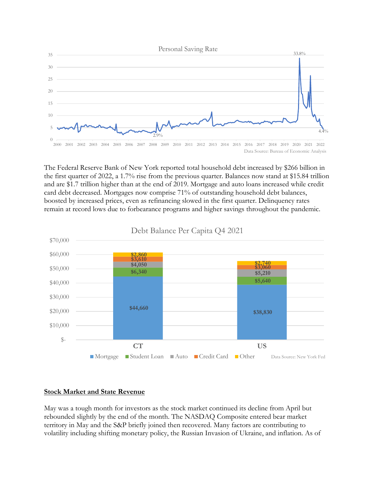

The Federal Reserve Bank of New York reported total household debt increased by \$266 billion in the first quarter of 2022, a 1.7% rise from the previous quarter. Balances now stand at \$15.84 trillion and are \$1.7 trillion higher than at the end of 2019. Mortgage and auto loans increased while credit card debt decreased. Mortgages now comprise 71% of outstanding household debt balances, boosted by increased prices, even as refinancing slowed in the first quarter. Delinquency rates remain at record lows due to forbearance programs and higher savings throughout the pandemic.



## Debt Balance Per Capita Q4 2021

## **Stock Market and State Revenue**

May was a tough month for investors as the stock market continued its decline from April but rebounded slightly by the end of the month. The NASDAQ Composite entered bear market territory in May and the S&P briefly joined then recovered. Many factors are contributing to volatility including shifting monetary policy, the Russian Invasion of Ukraine, and inflation. As of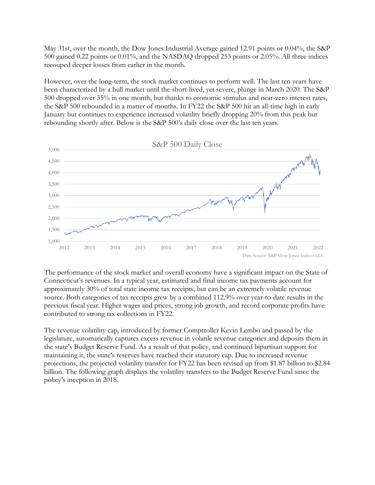May 31st, over the month, the Dow Jones Industrial Average gained 12.91 points or 0.04%, the S&P 500 gained 0.22 points or 0.01%, and the NASDAQ dropped 253 points or 2.05%. All three indices recouped deeper losses from earlier in the month.

However, over the long-term, the stock market continues to perform well. The last ten years have been characterized by a bull market until the short-lived, yet severe, plunge in March 2020. The S&P 500 dropped over 35% in one month, but thanks to economic stimulus and near-zero interest rates, the S&P 500 rebounded in a matter of months. In FY22 the S&P 500 hit an all-time high in early January but continues to experience increased volatility briefly dropping 20% from this peak but rebounding shortly after. Below is the S&P 500's daily close over the last ten years.



The performance of the stock market and overall economy have a significant impact on the State of Connecticut's revenues. In a typical year, estimated and final income tax payments account for approximately 30% of total state income tax receipts, but can be an extremely volatile revenue source. Both categories of tax receipts grew by a combined 112.9% over year-to-date results in the previous fiscal year. Higher wages and prices, strong job growth, and record corporate profits have contributed to strong tax collections in FY22.

The revenue volatility cap, introduced by former Comptroller Kevin Lembo and passed by the legislature, automatically captures excess revenue in volatile revenue categories and deposits them in the state's Budget Reserve Fund. As a result of that policy, and continued bipartisan support for maintaining it, the state's reserves have reached their statutory cap. Due to increased revenue projections, the projected volatility transfer for FY22 has been revised up from \$1.87 billion to \$2.84 billion. The following graph displays the volatility transfers to the Budget Reserve Fund since the policy's inception in 2018.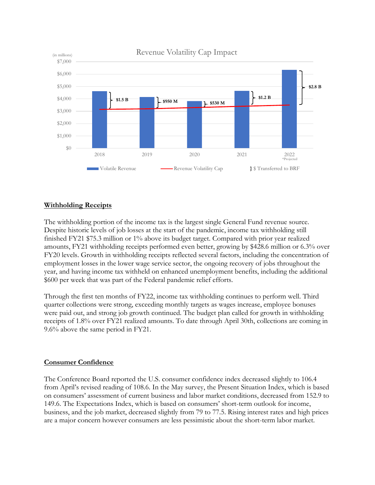

# **Withholding Receipts**

The withholding portion of the income tax is the largest single General Fund revenue source. Despite historic levels of job losses at the start of the pandemic, income tax withholding still finished FY21 \$75.3 million or 1% above its budget target. Compared with prior year realized amounts, FY21 withholding receipts performed even better, growing by \$428.6 million or 6.3% over FY20 levels. Growth in withholding receipts reflected several factors, including the concentration of employment losses in the lower wage service sector, the ongoing recovery of jobs throughout the year, and having income tax withheld on enhanced unemployment benefits, including the additional \$600 per week that was part of the Federal pandemic relief efforts.

Through the first ten months of FY22, income tax withholding continues to perform well. Third quarter collections were strong, exceeding monthly targets as wages increase, employee bonuses were paid out, and strong job growth continued. The budget plan called for growth in withholding receipts of 1.8% over FY21 realized amounts. To date through April 30th, collections are coming in 9.6% above the same period in FY21.

## **Consumer Confidence**

The Conference Board reported the U.S. consumer confidence index decreased slightly to 106.4 from April's revised reading of 108.6. In the May survey, the Present Situation Index, which is based on consumers' assessment of current business and labor market conditions, decreased from 152.9 to 149.6. The Expectations Index, which is based on consumers' short-term outlook for income, business, and the job market, decreased slightly from 79 to 77.5. Rising interest rates and high prices are a major concern however consumers are less pessimistic about the short-term labor market.